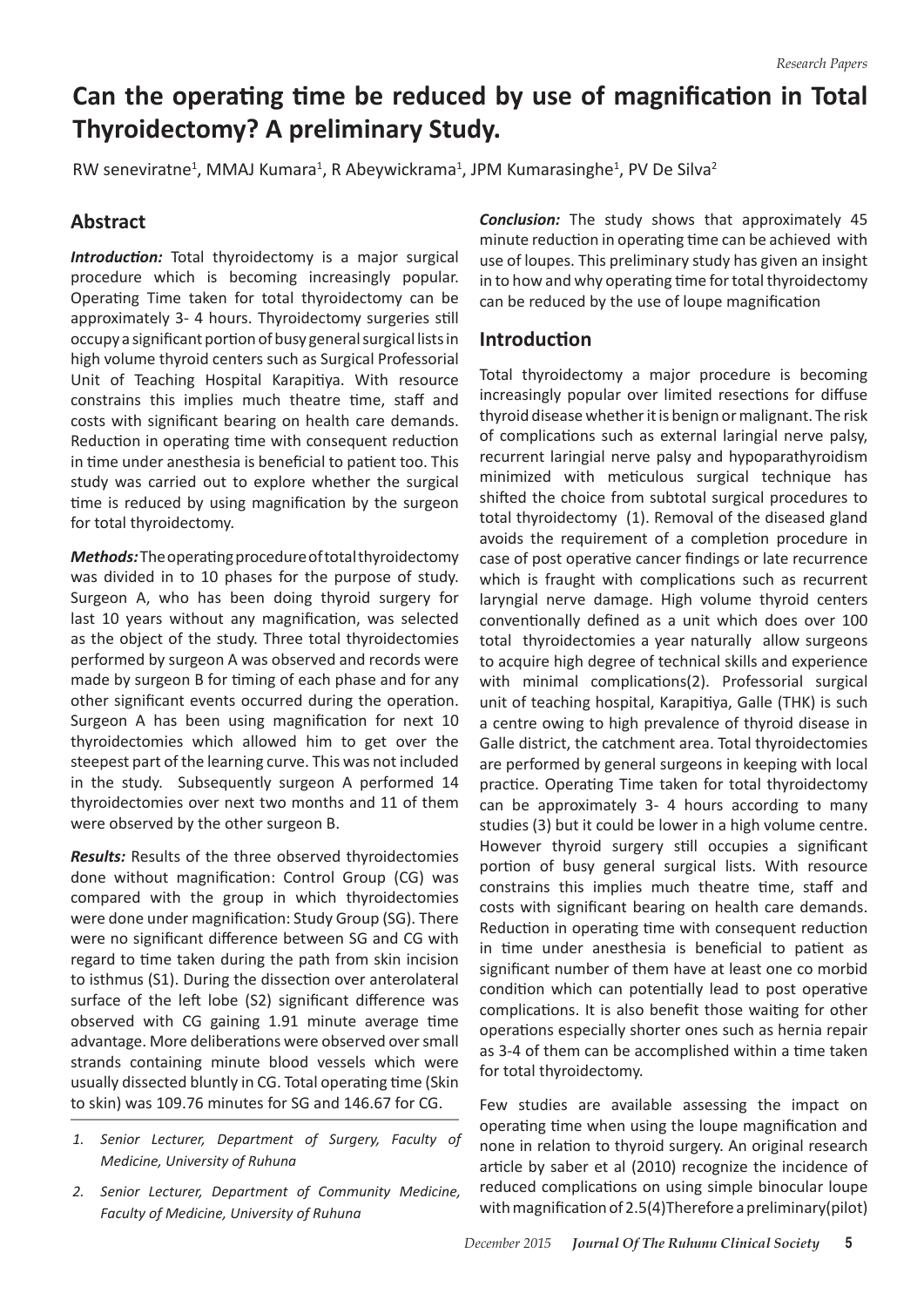# **Can the operating time be reduced by use of magnification in Total Thyroidectomy? A preliminary Study.**

RW seneviratne<sup>1</sup>, MMAJ Kumara<sup>1</sup>, R Abeywickrama<sup>1</sup>, JPM Kumarasinghe<sup>1</sup>, PV De Silva<sup>2</sup>

## **Abstract**

*Introduction:* Total thyroidectomy is a major surgical procedure which is becoming increasingly popular. Operating Time taken for total thyroidectomy can be approximately 3- 4 hours. Thyroidectomy surgeries still occupy a significant portion of busy general surgical lists in high volume thyroid centers such as Surgical Professorial Unit of Teaching Hospital Karapitiya. With resource constrains this implies much theatre time, staff and costs with significant bearing on health care demands. Reduction in operating time with consequent reduction in time under anesthesia is beneficial to patient too. This study was carried out to explore whether the surgical time is reduced by using magnification by the surgeon for total thyroidectomy.

*Methods:* Theoperatingprocedureoftotalthyroidectomy was divided in to 10 phases for the purpose of study. Surgeon A, who has been doing thyroid surgery for last 10 years without any magnification, was selected as the object of the study. Three total thyroidectomies performed by surgeon A was observed and records were made by surgeon B for timing of each phase and for any other significant events occurred during the operation. Surgeon A has been using magnification for next 10 thyroidectomies which allowed him to get over the steepest part of the learning curve. This was not included in the study. Subsequently surgeon A performed 14 thyroidectomies over next two months and 11 of them were observed by the other surgeon B.

*Results:* Results of the three observed thyroidectomies done without magnification: Control Group (CG) was compared with the group in which thyroidectomies were done under magnification: Study Group (SG). There were no significant difference between SG and CG with regard to time taken during the path from skin incision to isthmus (S1). During the dissection over anterolateral surface of the left lobe (S2) significant difference was observed with CG gaining 1.91 minute average time advantage. More deliberations were observed over small strands containing minute blood vessels which were usually dissected bluntly in CG. Total operating time (Skin to skin) was 109.76 minutes for SG and 146.67 for CG.

- *1. Senior Lecturer, Department of Surgery, Faculty of Medicine, University of Ruhuna*
- *2. Senior Lecturer, Department of Community Medicine, Faculty of Medicine, University of Ruhuna*

*Conclusion:* The study shows that approximately 45 minute reduction in operating time can be achieved with use of loupes. This preliminary study has given an insight in to how and why operating time for total thyroidectomy can be reduced by the use of loupe magnification

### **Introduction**

Total thyroidectomy a major procedure is becoming increasingly popular over limited resections for diffuse thyroid disease whether it is benign or malignant. The risk of complications such as external laringial nerve palsy, recurrent laringial nerve palsy and hypoparathyroidism minimized with meticulous surgical technique has shifted the choice from subtotal surgical procedures to total thyroidectomy (1). Removal of the diseased gland avoids the requirement of a completion procedure in case of post operative cancer findings or late recurrence which is fraught with complications such as recurrent laryngial nerve damage. High volume thyroid centers conventionally defined as a unit which does over 100 total thyroidectomies a year naturally allow surgeons to acquire high degree of technical skills and experience with minimal complications(2). Professorial surgical unit of teaching hospital, Karapitiya, Galle (THK) is such a centre owing to high prevalence of thyroid disease in Galle district, the catchment area. Total thyroidectomies are performed by general surgeons in keeping with local practice. Operating Time taken for total thyroidectomy can be approximately 3- 4 hours according to many studies (3) but it could be lower in a high volume centre. However thyroid surgery still occupies a significant portion of busy general surgical lists. With resource constrains this implies much theatre time, staff and costs with significant bearing on health care demands. Reduction in operating time with consequent reduction in time under anesthesia is beneficial to patient as significant number of them have at least one co morbid condition which can potentially lead to post operative complications. It is also benefit those waiting for other operations especially shorter ones such as hernia repair as 3-4 of them can be accomplished within a time taken for total thyroidectomy.

Few studies are available assessing the impact on operating time when using the loupe magnification and none in relation to thyroid surgery. An original research article by saber et al (2010) recognize the incidence of reduced complications on using simple binocular loupe with magnification of 2.5(4)Therefore a preliminary(pilot)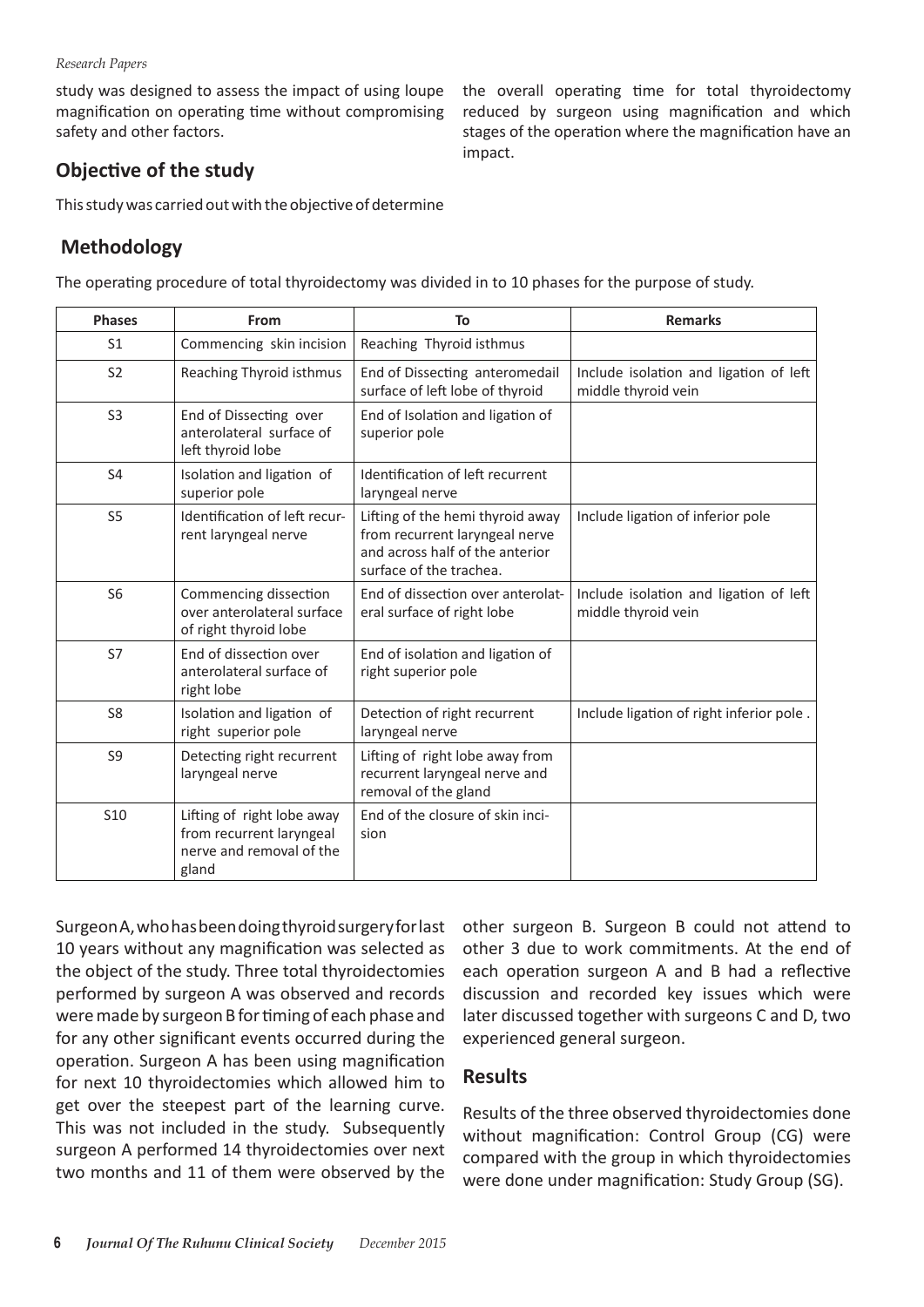#### *Research Papers*

study was designed to assess the impact of using loupe magnification on operating time without compromising safety and other factors.

the overall operating time for total thyroidectomy reduced by surgeon using magnification and which stages of the operation where the magnification have an impact.

## **Objective of the study**

This study was carried out with the objective of determine

## **Methodology**

The operating procedure of total thyroidectomy was divided in to 10 phases for the purpose of study.

| <b>Phases</b>  | From                                                                                        | To                                                                                                                               | <b>Remarks</b>                                                |  |  |  |
|----------------|---------------------------------------------------------------------------------------------|----------------------------------------------------------------------------------------------------------------------------------|---------------------------------------------------------------|--|--|--|
| S <sub>1</sub> | Commencing skin incision                                                                    | Reaching Thyroid isthmus                                                                                                         |                                                               |  |  |  |
| S <sub>2</sub> | Reaching Thyroid isthmus                                                                    | End of Dissecting anteromedail<br>surface of left lobe of thyroid                                                                | Include isolation and ligation of left<br>middle thyroid vein |  |  |  |
| S <sub>3</sub> | End of Dissecting over<br>anterolateral surface of<br>left thyroid lobe                     | End of Isolation and ligation of<br>superior pole                                                                                |                                                               |  |  |  |
| S <sub>4</sub> | Isolation and ligation of<br>superior pole                                                  | Identification of left recurrent<br>laryngeal nerve                                                                              |                                                               |  |  |  |
| S <sub>5</sub> | Identification of left recur-<br>rent laryngeal nerve                                       | Lifting of the hemi thyroid away<br>from recurrent laryngeal nerve<br>and across half of the anterior<br>surface of the trachea. | Include ligation of inferior pole                             |  |  |  |
| S <sub>6</sub> | Commencing dissection<br>over anterolateral surface<br>of right thyroid lobe                | End of dissection over anterolat-<br>eral surface of right lobe                                                                  | Include isolation and ligation of left<br>middle thyroid vein |  |  |  |
| S7             | End of dissection over<br>anterolateral surface of<br>right lobe                            | End of isolation and ligation of<br>right superior pole                                                                          |                                                               |  |  |  |
| S <sub>8</sub> | Isolation and ligation of<br>right superior pole                                            | Detection of right recurrent<br>laryngeal nerve                                                                                  | Include ligation of right inferior pole.                      |  |  |  |
| S <sub>9</sub> | Detecting right recurrent<br>laryngeal nerve                                                | Lifting of right lobe away from<br>recurrent laryngeal nerve and<br>removal of the gland                                         |                                                               |  |  |  |
| <b>S10</b>     | Lifting of right lobe away<br>from recurrent laryngeal<br>nerve and removal of the<br>gland | End of the closure of skin inci-<br>sion                                                                                         |                                                               |  |  |  |

Surgeon A, who has been doing thyroid surgery for last 10 years without any magnification was selected as the object of the study. Three total thyroidectomies performed by surgeon A was observed and records were made by surgeon B for timing of each phase and for any other significant events occurred during the operation. Surgeon A has been using magnification for next 10 thyroidectomies which allowed him to get over the steepest part of the learning curve. This was not included in the study. Subsequently surgeon A performed 14 thyroidectomies over next two months and 11 of them were observed by the other surgeon B. Surgeon B could not attend to other 3 due to work commitments. At the end of each operation surgeon A and B had a reflective discussion and recorded key issues which were later discussed together with surgeons C and D, two experienced general surgeon.

#### **Results**

Results of the three observed thyroidectomies done without magnification: Control Group (CG) were compared with the group in which thyroidectomies were done under magnification: Study Group (SG).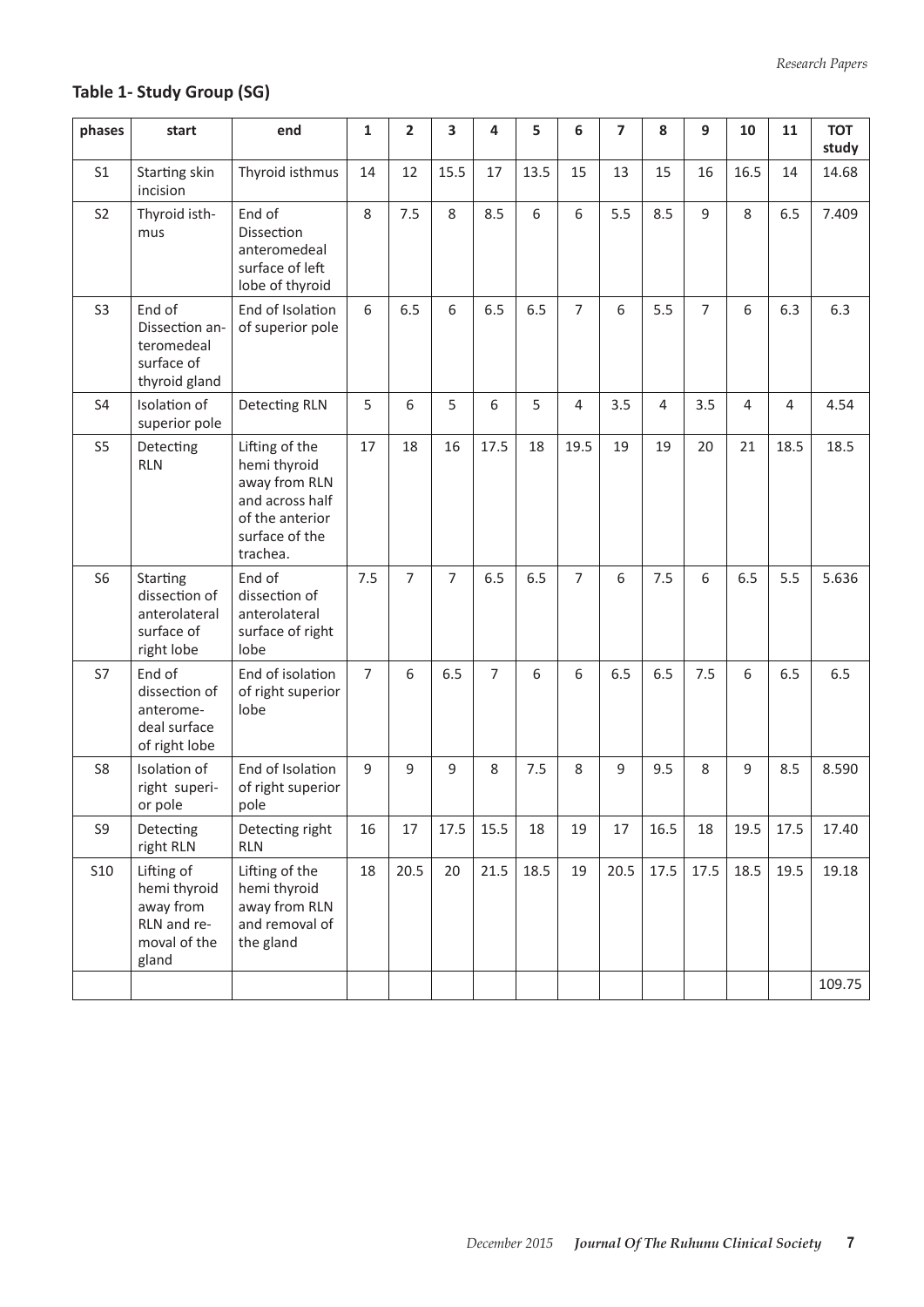## **Table 1- Study Group (SG)**

| phases         | start                                                                           | end                                                                                                                 | $\mathbf{1}$   | $\overline{2}$ | 3              | 4              | 5    | 6              | 7    | 8              | 9              | 10   | 11   | <b>TOT</b><br>study |
|----------------|---------------------------------------------------------------------------------|---------------------------------------------------------------------------------------------------------------------|----------------|----------------|----------------|----------------|------|----------------|------|----------------|----------------|------|------|---------------------|
| S <sub>1</sub> | Starting skin<br>incision                                                       | Thyroid isthmus                                                                                                     | 14             | 12             | 15.5           | 17             | 13.5 | 15             | 13   | 15             | 16             | 16.5 | 14   | 14.68               |
| S <sub>2</sub> | Thyroid isth-<br>mus                                                            | End of<br>Dissection<br>anteromedeal<br>surface of left<br>lobe of thyroid                                          | 8              | 7.5            | 8              | 8.5            | 6    | 6              | 5.5  | 8.5            | 9              | 8    | 6.5  | 7.409               |
| S <sub>3</sub> | End of<br>Dissection an-<br>teromedeal<br>surface of<br>thyroid gland           | End of Isolation<br>of superior pole                                                                                | 6              | 6.5            | 6              | 6.5            | 6.5  | $\overline{7}$ | 6    | 5.5            | $\overline{7}$ | 6    | 6.3  | 6.3                 |
| S <sub>4</sub> | Isolation of<br>superior pole                                                   | <b>Detecting RLN</b>                                                                                                | 5              | 6              | 5              | 6              | 5    | 4              | 3.5  | $\overline{4}$ | 3.5            | 4    | 4    | 4.54                |
| S <sub>5</sub> | Detecting<br><b>RLN</b>                                                         | Lifting of the<br>hemi thyroid<br>away from RLN<br>and across half<br>of the anterior<br>surface of the<br>trachea. | 17             | 18             | 16             | 17.5           | 18   | 19.5           | 19   | 19             | 20             | 21   | 18.5 | 18.5                |
| S <sub>6</sub> | Starting<br>dissection of<br>anterolateral<br>surface of<br>right lobe          | End of<br>dissection of<br>anterolateral<br>surface of right<br>lobe                                                | 7.5            | $\overline{7}$ | $\overline{7}$ | 6.5            | 6.5  | $\overline{7}$ | 6    | 7.5            | 6              | 6.5  | 5.5  | 5.636               |
| S7             | End of<br>dissection of<br>anterome-<br>deal surface<br>of right lobe           | End of isolation<br>of right superior<br>lobe                                                                       | $\overline{7}$ | 6              | 6.5            | $\overline{7}$ | 6    | 6              | 6.5  | 6.5            | 7.5            | 6    | 6.5  | 6.5                 |
| S <sub>8</sub> | Isolation of<br>right superi-<br>or pole                                        | End of Isolation<br>of right superior<br>pole                                                                       | 9              | 9              | 9              | 8              | 7.5  | 8              | 9    | 9.5            | 8              | 9    | 8.5  | 8.590               |
| S9             | Detecting<br>right RLN                                                          | Detecting right<br><b>RLN</b>                                                                                       | 16             | 17             | 17.5           | 15.5           | 18   | 19             | 17   | 16.5           | 18             | 19.5 | 17.5 | 17.40               |
| <b>S10</b>     | Lifting of<br>hemi thyroid<br>away from<br>RLN and re-<br>moval of the<br>gland | Lifting of the<br>hemi thyroid<br>away from RLN<br>and removal of<br>the gland                                      | 18             | 20.5           | 20             | 21.5           | 18.5 | 19             | 20.5 | 17.5           | 17.5           | 18.5 | 19.5 | 19.18<br>109.75     |
|                |                                                                                 |                                                                                                                     |                |                |                |                |      |                |      |                |                |      |      |                     |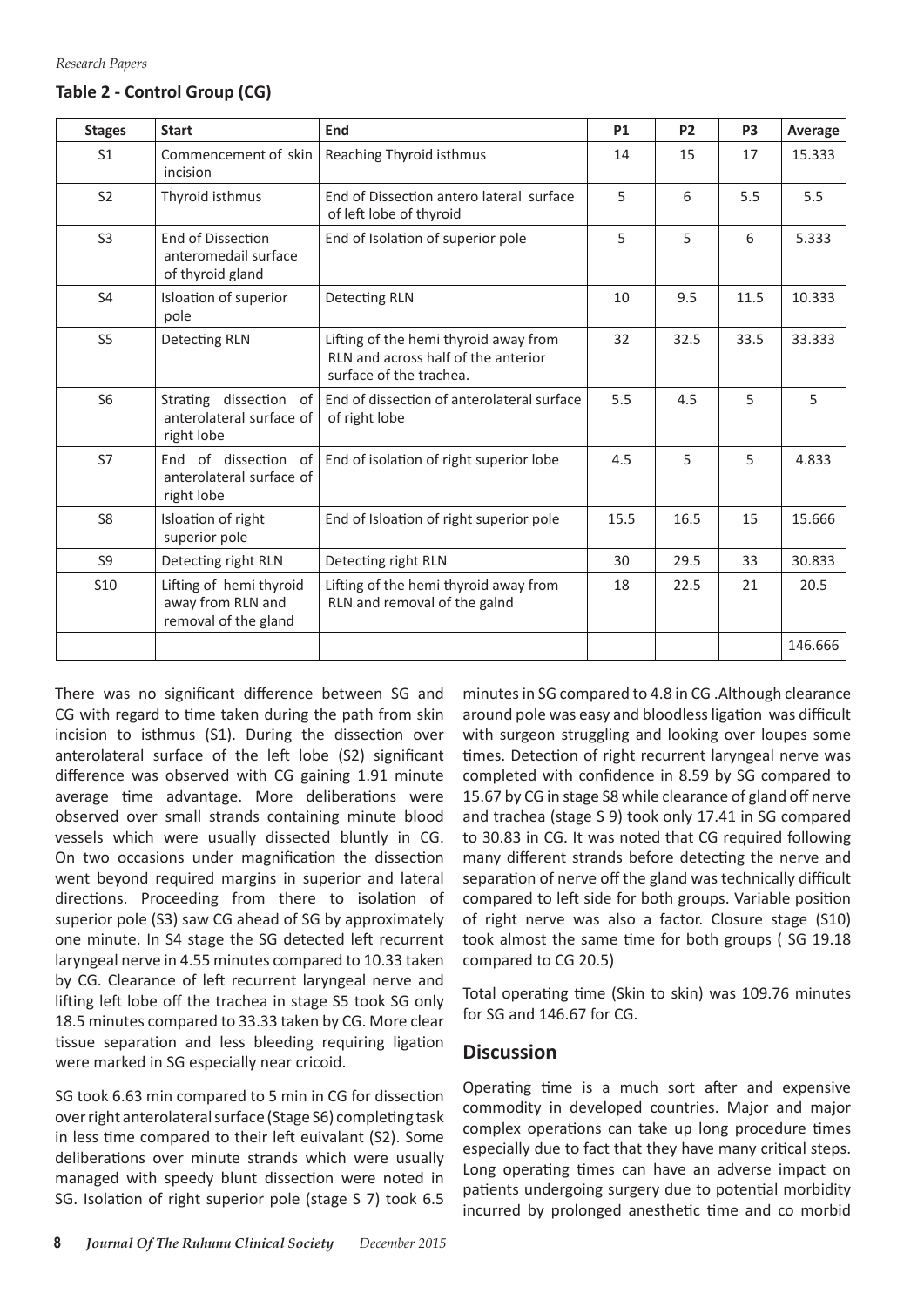#### **Table 2 - Control Group (CG)**

| <b>Stages</b>   | <b>Start</b>                                                         | End                                                                                                     | <b>P1</b> | P <sub>2</sub> | P <sub>3</sub> | Average |
|-----------------|----------------------------------------------------------------------|---------------------------------------------------------------------------------------------------------|-----------|----------------|----------------|---------|
| S <sub>1</sub>  | Commencement of skin<br>incision                                     | Reaching Thyroid isthmus                                                                                | 14        | 15             | 17             | 15.333  |
| S <sub>2</sub>  | Thyroid isthmus                                                      | End of Dissection antero lateral surface<br>of left lobe of thyroid                                     | 5         | 6              | 5.5            | 5.5     |
| S <sub>3</sub>  | End of Dissection<br>anteromedail surface<br>of thyroid gland        | End of Isolation of superior pole                                                                       | 5         | 5              | 6              | 5.333   |
| <b>S4</b>       | Isloation of superior<br>pole                                        | Detecting RLN                                                                                           | 10        | 9.5            | 11.5           | 10.333  |
| S <sub>5</sub>  | <b>Detecting RLN</b>                                                 | Lifting of the hemi thyroid away from<br>RLN and across half of the anterior<br>surface of the trachea. | 32        | 32.5           | 33.5           | 33.333  |
| S <sub>6</sub>  | Strating dissection of<br>anterolateral surface of<br>right lobe     | End of dissection of anterolateral surface<br>of right lobe                                             | 5.5       | 4.5            | 5              | 5       |
| S7              | End of dissection of<br>anterolateral surface of<br>right lobe       | End of isolation of right superior lobe                                                                 | 4.5       | 5              | 5              | 4.833   |
| S <sub>8</sub>  | Isloation of right<br>superior pole                                  | End of Isloation of right superior pole                                                                 | 15.5      | 16.5           | 15             | 15.666  |
| S <sub>9</sub>  | Detecting right RLN                                                  | Detecting right RLN                                                                                     | 30        | 29.5           | 33             | 30.833  |
| S <sub>10</sub> | Lifting of hemi thyroid<br>away from RLN and<br>removal of the gland | Lifting of the hemi thyroid away from<br>RLN and removal of the galnd                                   | 18        | 22.5           | 21             | 20.5    |
|                 |                                                                      |                                                                                                         |           |                |                | 146.666 |

There was no significant difference between SG and CG with regard to time taken during the path from skin incision to isthmus (S1). During the dissection over anterolateral surface of the left lobe (S2) significant difference was observed with CG gaining 1.91 minute average time advantage. More deliberations were observed over small strands containing minute blood vessels which were usually dissected bluntly in CG. On two occasions under magnification the dissection went beyond required margins in superior and lateral directions. Proceeding from there to isolation of superior pole (S3) saw CG ahead of SG by approximately one minute. In S4 stage the SG detected left recurrent laryngeal nerve in 4.55 minutes compared to 10.33 taken by CG. Clearance of left recurrent laryngeal nerve and lifting left lobe off the trachea in stage S5 took SG only 18.5 minutes compared to 33.33 taken by CG. More clear tissue separation and less bleeding requiring ligation were marked in SG especially near cricoid.

SG took 6.63 min compared to 5 min in CG for dissection over right anterolateral surface (Stage S6) completing task in less time compared to their left euivalant (S2). Some deliberations over minute strands which were usually managed with speedy blunt dissection were noted in SG. Isolation of right superior pole (stage S 7) took 6.5

minutes in SG compared to 4.8 in CG .Although clearance around pole was easy and bloodlessligation was difficult with surgeon struggling and looking over loupes some times. Detection of right recurrent laryngeal nerve was completed with confidence in 8.59 by SG compared to 15.67 by CG in stage S8 while clearance of gland off nerve and trachea (stage S 9) took only 17.41 in SG compared to 30.83 in CG. It was noted that CG required following many different strands before detecting the nerve and separation of nerve off the gland was technically difficult compared to left side for both groups. Variable position of right nerve was also a factor. Closure stage (S10) took almost the same time for both groups ( SG 19.18 compared to CG 20.5)

Total operating time (Skin to skin) was 109.76 minutes for SG and 146.67 for CG.

#### **Discussion**

Operating time is a much sort after and expensive commodity in developed countries. Major and major complex operations can take up long procedure times especially due to fact that they have many critical steps. Long operating times can have an adverse impact on patients undergoing surgery due to potential morbidity incurred by prolonged anesthetic time and co morbid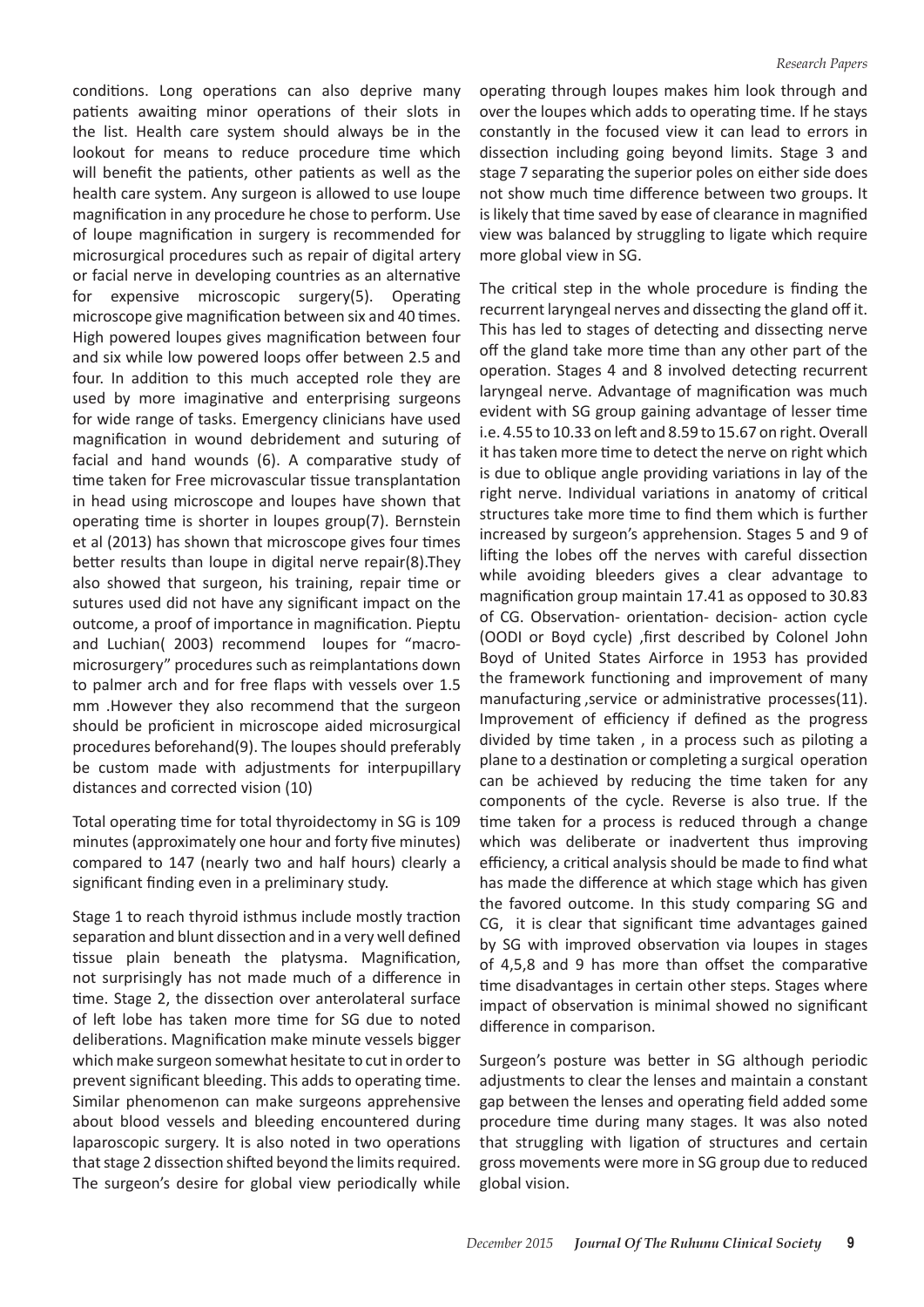conditions. Long operations can also deprive many patients awaiting minor operations of their slots in the list. Health care system should always be in the lookout for means to reduce procedure time which will benefit the patients, other patients as well as the health care system. Any surgeon is allowed to use loupe magnification in any procedure he chose to perform. Use of loupe magnification in surgery is recommended for microsurgical procedures such as repair of digital artery or facial nerve in developing countries as an alternative for expensive microscopic surgery(5). Operating microscope give magnification between six and 40 times. High powered loupes gives magnification between four and six while low powered loops offer between 2.5 and four. In addition to this much accepted role they are used by more imaginative and enterprising surgeons for wide range of tasks. Emergency clinicians have used magnification in wound debridement and suturing of facial and hand wounds (6). A comparative study of time taken for Free microvascular tissue transplantation in head using microscope and loupes have shown that operating time is shorter in loupes group(7). Bernstein et al (2013) has shown that microscope gives four times better results than loupe in digital nerve repair(8).They also showed that surgeon, his training, repair time or sutures used did not have any significant impact on the outcome, a proof of importance in magnification. Pieptu and Luchian( 2003) recommend loupes for "macromicrosurgery" procedures such as reimplantations down to palmer arch and for free flaps with vessels over 1.5 mm .However they also recommend that the surgeon should be proficient in microscope aided microsurgical procedures beforehand(9). The loupes should preferably be custom made with adjustments for interpupillary distances and corrected vision (10)

Total operating time for total thyroidectomy in SG is 109 minutes(approximately one hour and forty five minutes) compared to 147 (nearly two and half hours) clearly a significant finding even in a preliminary study.

Stage 1 to reach thyroid isthmus include mostly traction separation and blunt dissection and in a very well defined tissue plain beneath the platysma. Magnification, not surprisingly has not made much of a difference in time. Stage 2, the dissection over anterolateral surface of left lobe has taken more time for SG due to noted deliberations. Magnification make minute vessels bigger which make surgeon somewhat hesitate to cut in order to prevent significant bleeding. This adds to operating time. Similar phenomenon can make surgeons apprehensive about blood vessels and bleeding encountered during laparoscopic surgery. It is also noted in two operations that stage 2 dissection shifted beyond the limits required. The surgeon's desire for global view periodically while

operating through loupes makes him look through and over the loupes which adds to operating time. If he stays constantly in the focused view it can lead to errors in dissection including going beyond limits. Stage 3 and stage 7 separating the superior poles on either side does not show much time difference between two groups. It is likely that time saved by ease of clearance in magnified view was balanced by struggling to ligate which require more global view in SG.

The critical step in the whole procedure is finding the recurrent laryngeal nerves and dissecting the gland off it. This has led to stages of detecting and dissecting nerve off the gland take more time than any other part of the operation. Stages 4 and 8 involved detecting recurrent laryngeal nerve. Advantage of magnification was much evident with SG group gaining advantage of lesser time i.e. 4.55 to 10.33 on left and 8.59 to 15.67 on right. Overall it has taken more time to detect the nerve on right which is due to oblique angle providing variations in lay of the right nerve. Individual variations in anatomy of critical structures take more time to find them which is further increased by surgeon's apprehension. Stages 5 and 9 of lifting the lobes off the nerves with careful dissection while avoiding bleeders gives a clear advantage to magnification group maintain 17.41 as opposed to 30.83 of CG. Observation- orientation- decision- action cycle (OODI or Boyd cycle) ,first described by Colonel John Boyd of United States Airforce in 1953 has provided the framework functioning and improvement of many manufacturing ,service or administrative processes(11). Improvement of efficiency if defined as the progress divided by time taken , in a process such as piloting a plane to a destination or completing a surgical operation can be achieved by reducing the time taken for any components of the cycle. Reverse is also true. If the time taken for a process is reduced through a change which was deliberate or inadvertent thus improving efficiency, a critical analysis should be made to find what has made the difference at which stage which has given the favored outcome. In this study comparing SG and CG, it is clear that significant time advantages gained by SG with improved observation via loupes in stages of 4,5,8 and 9 has more than offset the comparative time disadvantages in certain other steps. Stages where impact of observation is minimal showed no significant difference in comparison.

Surgeon's posture was better in SG although periodic adjustments to clear the lenses and maintain a constant gap between the lenses and operating field added some procedure time during many stages. It was also noted that struggling with ligation of structures and certain gross movements were more in SG group due to reduced global vision.